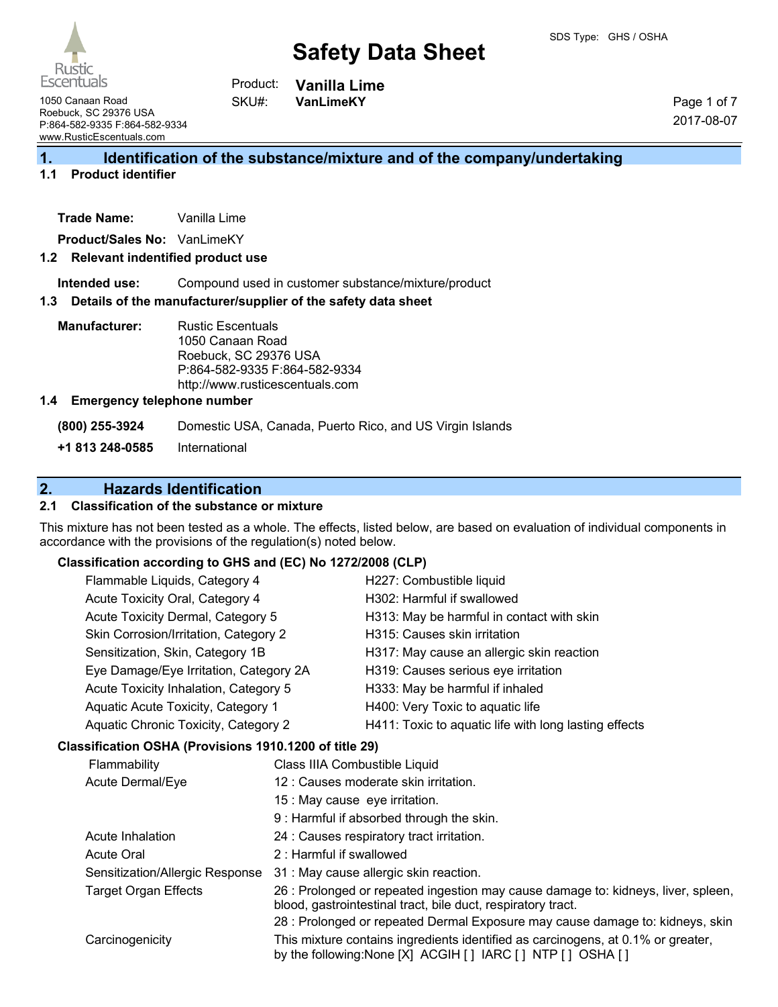# **Safety Data Sheet**



**Vanilla Lime VanLimeKY** Product: SKU#:

1050 Canaan Road Roebuck, SC 29376 USA P:864-582-9335 F:864-582-9334 www.RusticEscentuals.com

Page 1 of 7 2017-08-07

# **1. Identification of the substance/mixture and of the company/undertaking**

# **1.1 Product identifier**

| <b>Trade Name:</b> | Vanilla Lime |  |
|--------------------|--------------|--|
|                    |              |  |

**Product/Sales No:** VanLimeKY

#### **1.2 Relevant indentified product use**

**Intended use:** Compound used in customer substance/mixture/product

#### **1.3 Details of the manufacturer/supplier of the safety data sheet**

**Manufacturer:** Rustic Escentuals 1050 Canaan Road Roebuck, SC 29376 USA P:864-582-9335 F:864-582-9334 http://www.rusticescentuals.com

#### **1.4 Emergency telephone number**

**(800) 255-3924** Domestic USA, Canada, Puerto Rico, and US Virgin Islands

**+1 813 248-0585** International

# **2. Hazards Identification**

## **2.1 Classification of the substance or mixture**

This mixture has not been tested as a whole. The effects, listed below, are based on evaluation of individual components in accordance with the provisions of the regulation(s) noted below.

## **Classification according to GHS and (EC) No 1272/2008 (CLP)**

| Flammable Liquids, Category 4          | H227: Combustible liquid                              |
|----------------------------------------|-------------------------------------------------------|
| Acute Toxicity Oral, Category 4        | H302: Harmful if swallowed                            |
| Acute Toxicity Dermal, Category 5      | H313: May be harmful in contact with skin             |
| Skin Corrosion/Irritation, Category 2  | H315: Causes skin irritation                          |
| Sensitization, Skin, Category 1B       | H317: May cause an allergic skin reaction             |
| Eye Damage/Eye Irritation, Category 2A | H319: Causes serious eye irritation                   |
| Acute Toxicity Inhalation, Category 5  | H333: May be harmful if inhaled                       |
| Aquatic Acute Toxicity, Category 1     | H400: Very Toxic to aquatic life                      |
| Aquatic Chronic Toxicity, Category 2   | H411: Toxic to aquatic life with long lasting effects |
|                                        |                                                       |

#### **Classification OSHA (Provisions 1910.1200 of title 29)**

| Flammability                    | Class IIIA Combustible Liquid                                                                                                                     |
|---------------------------------|---------------------------------------------------------------------------------------------------------------------------------------------------|
| Acute Dermal/Eye                | 12 : Causes moderate skin irritation.                                                                                                             |
|                                 | 15 : May cause eye irritation.                                                                                                                    |
|                                 | 9 : Harmful if absorbed through the skin.                                                                                                         |
| Acute Inhalation                | 24 : Causes respiratory tract irritation.                                                                                                         |
| <b>Acute Oral</b>               | 2: Harmful if swallowed                                                                                                                           |
| Sensitization/Allergic Response | 31 : May cause allergic skin reaction.                                                                                                            |
| <b>Target Organ Effects</b>     | 26 : Prolonged or repeated ingestion may cause damage to: kidneys, liver, spleen,<br>blood, gastrointestinal tract, bile duct, respiratory tract. |
|                                 | 28 : Prolonged or repeated Dermal Exposure may cause damage to: kidneys, skin                                                                     |
| Carcinogenicity                 | This mixture contains ingredients identified as carcinogens, at 0.1% or greater,<br>by the following: None [X] ACGIH [] IARC [] NTP [] OSHA []    |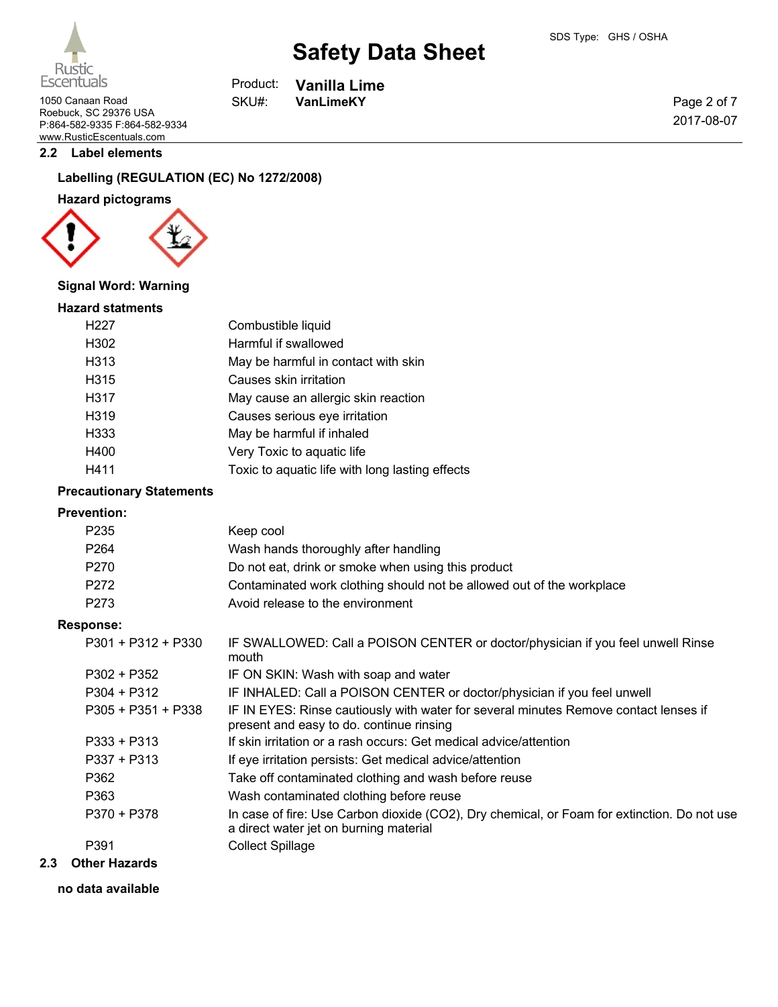Page 2 of 7 2017-08-07



**Vanilla Lime**

Rustic **Escentuals** 

1050 Canaan Road **VanLimeKY** Roebuck, SC 29376 USA P:864-582-9335 F:864-582-9334 www.RusticEscentuals.com

#### **2.2 Label elements**

# **Labelling (REGULATION (EC) No 1272/2008)**

## **Hazard pictograms**



#### **Signal Word: Warning**

#### **Hazard statments**

| H227 | Combustible liquid                              |
|------|-------------------------------------------------|
| H302 | Harmful if swallowed                            |
| H313 | May be harmful in contact with skin             |
| H315 | Causes skin irritation                          |
| H317 | May cause an allergic skin reaction             |
| H319 | Causes serious eye irritation                   |
| H333 | May be harmful if inhaled                       |
| H400 | Very Toxic to aquatic life                      |
| H411 | Toxic to aquatic life with long lasting effects |

Product: SKU#:

## **Precautionary Statements**

#### **Prevention:**

| Keep cool                                                             |
|-----------------------------------------------------------------------|
| Wash hands thoroughly after handling                                  |
| Do not eat, drink or smoke when using this product                    |
| Contaminated work clothing should not be allowed out of the workplace |
| Avoid release to the environment                                      |
|                                                                       |

#### **Response:**

| .                  |                                                                                                                                       |
|--------------------|---------------------------------------------------------------------------------------------------------------------------------------|
| P301 + P312 + P330 | IF SWALLOWED: Call a POISON CENTER or doctor/physician if you feel unwell Rinse<br>mouth                                              |
| P302 + P352        | IF ON SKIN: Wash with soap and water                                                                                                  |
| $P304 + P312$      | IF INHALED: Call a POISON CENTER or doctor/physician if you feel unwell                                                               |
| P305 + P351 + P338 | IF IN EYES: Rinse cautiously with water for several minutes Remove contact lenses if<br>present and easy to do. continue rinsing      |
| P333 + P313        | If skin irritation or a rash occurs: Get medical advice/attention                                                                     |
| P337 + P313        | If eye irritation persists: Get medical advice/attention                                                                              |
| P362               | Take off contaminated clothing and wash before reuse                                                                                  |
| P363               | Wash contaminated clothing before reuse                                                                                               |
| P370 + P378        | In case of fire: Use Carbon dioxide (CO2), Dry chemical, or Foam for extinction. Do not use<br>a direct water jet on burning material |
| P391               | <b>Collect Spillage</b>                                                                                                               |

#### **2.3 Other Hazards**

#### **no data available**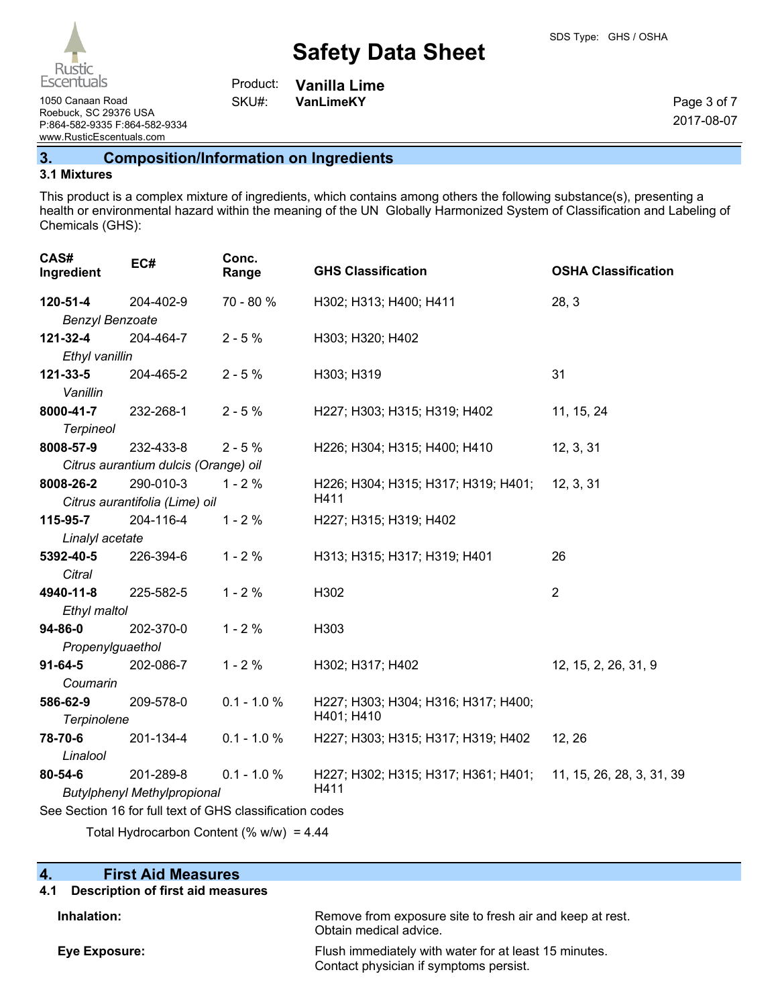# **Safety Data Sheet**

1050 Canaan Road **VanLimeKY** SKU#: VanLimeKY Roebuck, SC 29376 USA P:864-582-9335 F:864-582-9334 www.RusticEscentuals.com

**Vanilla Lime** Product: SKU#:

Page 3 of 7 2017-08-07

**3. Composition/Information on Ingredients**

#### **3.1 Mixtures**

This product is a complex mixture of ingredients, which contains among others the following substance(s), presenting a health or environmental hazard within the meaning of the UN Globally Harmonized System of Classification and Labeling of Chemicals (GHS):

| CAS#<br>Ingredient                                       | EC#                                  | Conc.<br>Range | <b>GHS Classification</b>                                     | <b>OSHA Classification</b> |
|----------------------------------------------------------|--------------------------------------|----------------|---------------------------------------------------------------|----------------------------|
| 120-51-4                                                 | 204-402-9                            | 70 - 80 %      | H302; H313; H400; H411                                        | 28, 3                      |
| <b>Benzyl Benzoate</b>                                   |                                      |                |                                                               |                            |
| 121-32-4                                                 | 204-464-7                            | $2 - 5%$       | H303; H320; H402                                              |                            |
| Ethyl vanillin                                           |                                      |                |                                                               |                            |
| 121-33-5                                                 | 204-465-2                            | $2 - 5%$       | H303; H319                                                    | 31                         |
| Vanillin                                                 |                                      |                |                                                               |                            |
| 8000-41-7                                                | 232-268-1                            | $2 - 5%$       | H227; H303; H315; H319; H402                                  | 11, 15, 24                 |
| <b>Terpineol</b>                                         |                                      |                |                                                               |                            |
| 8008-57-9                                                | 232-433-8                            | $2 - 5%$       | H226; H304; H315; H400; H410                                  | 12, 3, 31                  |
|                                                          | Citrus aurantium dulcis (Orange) oil |                |                                                               |                            |
| 8008-26-2                                                | 290-010-3                            | $1 - 2%$       | H226; H304; H315; H317; H319; H401;                           | 12, 3, 31                  |
|                                                          | Citrus aurantifolia (Lime) oil       |                | H411                                                          |                            |
| 115-95-7                                                 | 204-116-4                            | $1 - 2%$       | H227; H315; H319; H402                                        |                            |
| Linalyl acetate                                          |                                      |                |                                                               |                            |
| 5392-40-5                                                | 226-394-6                            | $1 - 2%$       | H313; H315; H317; H319; H401                                  | 26                         |
| Citral                                                   |                                      |                |                                                               |                            |
| 4940-11-8                                                | 225-582-5                            | $1 - 2%$       | H302                                                          | $\overline{2}$             |
| Ethyl maltol                                             |                                      |                |                                                               |                            |
| $94 - 86 - 0$                                            | 202-370-0                            | $1 - 2%$       | H303                                                          |                            |
| Propenylguaethol                                         |                                      |                |                                                               |                            |
| $91 - 64 - 5$                                            | 202-086-7                            | $1 - 2%$       | H302; H317; H402                                              | 12, 15, 2, 26, 31, 9       |
| Coumarin                                                 |                                      |                |                                                               |                            |
| 586-62-9                                                 | 209-578-0                            | $0.1 - 1.0 %$  | H227; H303; H304; H316; H317; H400;                           |                            |
| Terpinolene                                              |                                      |                | H401; H410                                                    |                            |
| 78-70-6                                                  | 201-134-4                            | $0.1 - 1.0 %$  | H227; H303; H315; H317; H319; H402                            | 12, 26                     |
| Linalool                                                 |                                      |                |                                                               |                            |
| $80 - 54 - 6$                                            | 201-289-8                            | $0.1 - 1.0 %$  | H227; H302; H315; H317; H361; H401; 11, 15, 26, 28, 3, 31, 39 |                            |
| H411<br><b>Butylphenyl Methylpropional</b>               |                                      |                |                                                               |                            |
| See Section 16 for full text of GHS classification codes |                                      |                |                                                               |                            |

Total Hydrocarbon Content (%  $w/w$ ) = 4.44

## **4. First Aid Measures**

#### **4.1 Description of first aid measures**

**Inhalation:** Remove from exposure site to fresh air and keep at rest.

Obtain medical advice. **Eye Exposure:** Flush immediately with water for at least 15 minutes. Contact physician if symptoms persist.

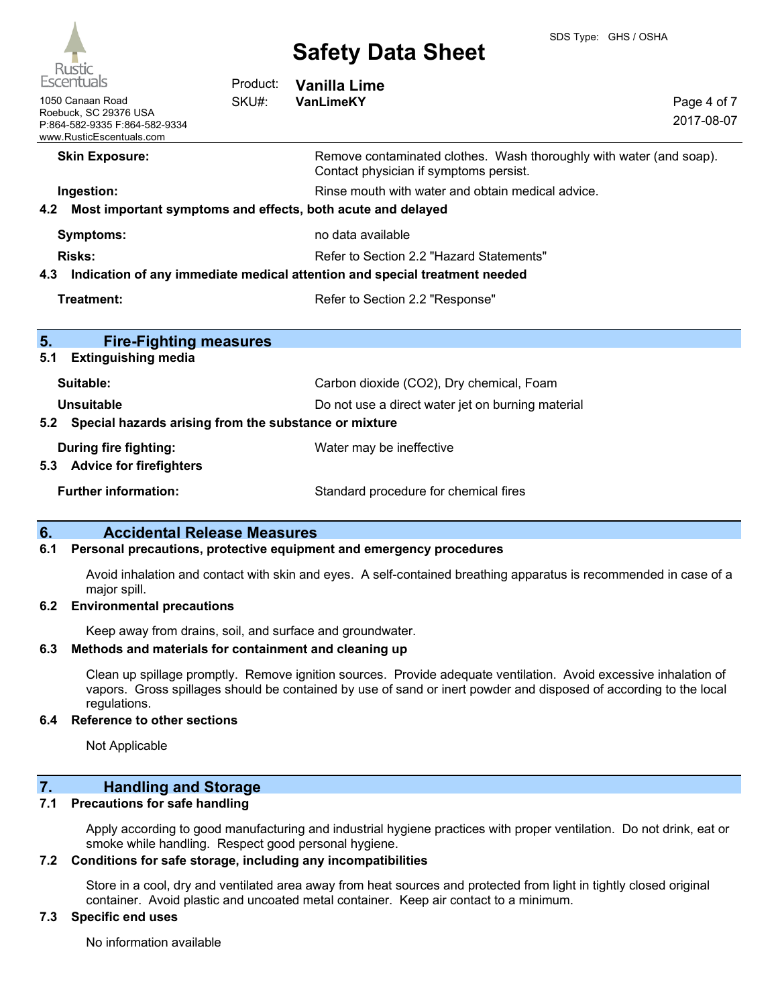

| $\sqrt{2}$<br><b>Escentuals</b>                                                                        | Product: | <b>Vanilla Lime</b>                                                                                           |                           |
|--------------------------------------------------------------------------------------------------------|----------|---------------------------------------------------------------------------------------------------------------|---------------------------|
| 1050 Canaan Road<br>Roebuck, SC 29376 USA<br>P:864-582-9335 F:864-582-9334<br>www.RusticEscentuals.com | SKU#:    | VanLimeKY                                                                                                     | Page 4 of 7<br>2017-08-07 |
| <b>Skin Exposure:</b>                                                                                  |          | Remove contaminated clothes. Wash thoroughly with water (and soap).<br>Contact physician if symptoms persist. |                           |
| Ingestion:                                                                                             |          | Rinse mouth with water and obtain medical advice.                                                             |                           |
| Most important symptoms and effects, both acute and delayed<br>4.2                                     |          |                                                                                                               |                           |
| Symptoms:                                                                                              |          | no data available                                                                                             |                           |
| <b>Risks:</b>                                                                                          |          | Refer to Section 2.2 "Hazard Statements"                                                                      |                           |
| 4.3                                                                                                    |          | Indication of any immediate medical attention and special treatment needed                                    |                           |
| Treatment:                                                                                             |          | Refer to Section 2.2 "Response"                                                                               |                           |
| 5.<br><b>Fire-Fighting measures</b>                                                                    |          |                                                                                                               |                           |
| <b>Extinguishing media</b><br>5.1                                                                      |          |                                                                                                               |                           |
| Suitable:                                                                                              |          | Carbon dioxide (CO2), Dry chemical, Foam                                                                      |                           |
| Unsuitable                                                                                             |          | Do not use a direct water jet on burning material                                                             |                           |
| Special hazards arising from the substance or mixture<br>5.2                                           |          |                                                                                                               |                           |
| <b>During fire fighting:</b><br><b>Advice for firefighters</b><br>5.3                                  |          | Water may be ineffective                                                                                      |                           |
| <b>Further information:</b>                                                                            |          | Standard procedure for chemical fires                                                                         |                           |

## **6. Accidental Release Measures**

#### **6.1 Personal precautions, protective equipment and emergency procedures**

Avoid inhalation and contact with skin and eyes. A self-contained breathing apparatus is recommended in case of a major spill.

#### **6.2 Environmental precautions**

Keep away from drains, soil, and surface and groundwater.

### **6.3 Methods and materials for containment and cleaning up**

Clean up spillage promptly. Remove ignition sources. Provide adequate ventilation. Avoid excessive inhalation of vapors. Gross spillages should be contained by use of sand or inert powder and disposed of according to the local regulations.

## **6.4 Reference to other sections**

Not Applicable

# **7. Handling and Storage**

#### **7.1 Precautions for safe handling**

Apply according to good manufacturing and industrial hygiene practices with proper ventilation. Do not drink, eat or smoke while handling. Respect good personal hygiene.

## **7.2 Conditions for safe storage, including any incompatibilities**

Store in a cool, dry and ventilated area away from heat sources and protected from light in tightly closed original container. Avoid plastic and uncoated metal container. Keep air contact to a minimum.

# **7.3 Specific end uses**

No information available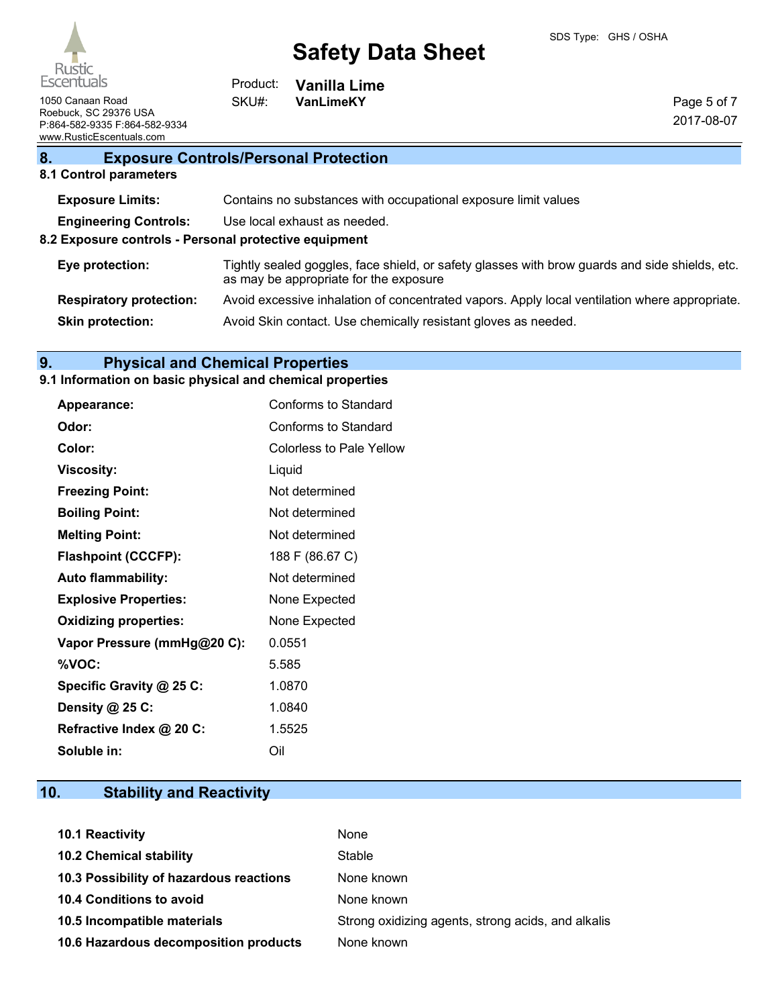**Vanilla Lime**

Page 5 of 7 2017-08-07

1050 Canaan Road **VanLimeKY** Roebuck, SC 29376 USA P:864-582-9335 F:864-582-9334 www.RusticEscentuals.com

# **8. Exposure Controls/Personal Protection**

Product: SKU#:

## **8.1 Control parameters**

| <b>Exposure Limits:</b>                               | Contains no substances with occupational exposure limit values                                                                           |  |
|-------------------------------------------------------|------------------------------------------------------------------------------------------------------------------------------------------|--|
| <b>Engineering Controls:</b>                          | Use local exhaust as needed.                                                                                                             |  |
| 8.2 Exposure controls - Personal protective equipment |                                                                                                                                          |  |
| Eye protection:                                       | Tightly sealed goggles, face shield, or safety glasses with brow guards and side shields, etc.<br>as may be appropriate for the exposure |  |
| <b>Respiratory protection:</b>                        | Avoid excessive inhalation of concentrated vapors. Apply local ventilation where appropriate.                                            |  |
| <b>Skin protection:</b>                               | Avoid Skin contact. Use chemically resistant gloves as needed.                                                                           |  |
|                                                       |                                                                                                                                          |  |

# **9. Physical and Chemical Properties**

# **9.1 Information on basic physical and chemical properties**

| Appearance:                  | Conforms to Standard     |
|------------------------------|--------------------------|
| Odor:                        | Conforms to Standard     |
| Color:                       | Colorless to Pale Yellow |
| Viscosity:                   | Liquid                   |
| <b>Freezing Point:</b>       | Not determined           |
| <b>Boiling Point:</b>        | Not determined           |
| <b>Melting Point:</b>        | Not determined           |
| <b>Flashpoint (CCCFP):</b>   | 188 F (86.67 C)          |
| <b>Auto flammability:</b>    | Not determined           |
| <b>Explosive Properties:</b> | None Expected            |
| <b>Oxidizing properties:</b> | None Expected            |
| Vapor Pressure (mmHg@20 C):  | 0.0551                   |
| %VOC:                        | 5.585                    |
| Specific Gravity @ 25 C:     | 1.0870                   |
| Density @ 25 C:              | 1.0840                   |
| Refractive Index @ 20 C:     | 1.5525                   |
| Soluble in:                  | Oil                      |

# **10. Stability and Reactivity**

| 10.1 Reactivity                         | None                                               |
|-----------------------------------------|----------------------------------------------------|
| <b>10.2 Chemical stability</b>          | Stable                                             |
| 10.3 Possibility of hazardous reactions | None known                                         |
| <b>10.4 Conditions to avoid</b>         | None known                                         |
| 10.5 Incompatible materials             | Strong oxidizing agents, strong acids, and alkalis |
| 10.6 Hazardous decomposition products   | None known                                         |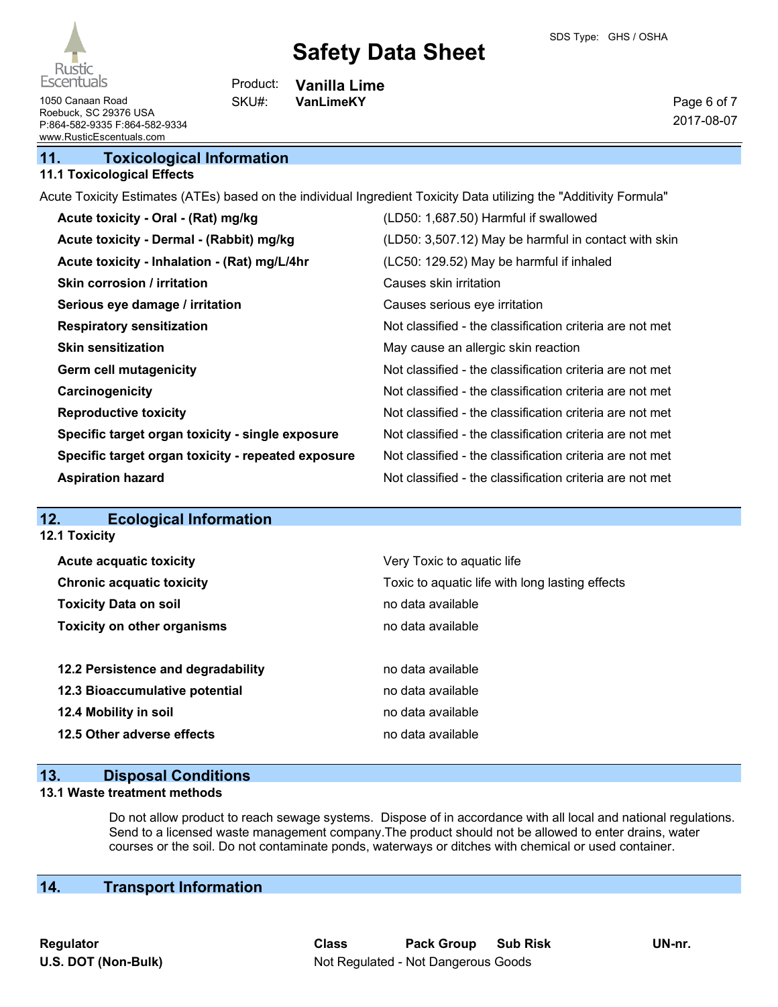

**12.1 Toxicity**

# **Safety Data Sheet**

Page 6 of 7 2017-08-07

1050 Canaan Road **VanLimeKY** SKU#: VanLimeKY Roebuck, SC 29376 USA P:864-582-9335 F:864-582-9334 www.RusticEscentuals.com

**11. Toxicological Information**

## **11.1 Toxicological Effects**

Acute Toxicity Estimates (ATEs) based on the individual Ingredient Toxicity Data utilizing the "Additivity Formula"

**Vanilla Lime**

Product: SKU#:

| Acute toxicity - Oral - (Rat) mg/kg                | (LD50: 1,687.50) Harmful if swallowed                    |
|----------------------------------------------------|----------------------------------------------------------|
| Acute toxicity - Dermal - (Rabbit) mg/kg           | (LD50: 3,507.12) May be harmful in contact with skin     |
| Acute toxicity - Inhalation - (Rat) mg/L/4hr       | (LC50: 129.52) May be harmful if inhaled                 |
| <b>Skin corrosion / irritation</b>                 | Causes skin irritation                                   |
| Serious eye damage / irritation                    | Causes serious eye irritation                            |
| <b>Respiratory sensitization</b>                   | Not classified - the classification criteria are not met |
| <b>Skin sensitization</b>                          | May cause an allergic skin reaction                      |
| <b>Germ cell mutagenicity</b>                      | Not classified - the classification criteria are not met |
| Carcinogenicity                                    | Not classified - the classification criteria are not met |
| <b>Reproductive toxicity</b>                       | Not classified - the classification criteria are not met |
| Specific target organ toxicity - single exposure   | Not classified - the classification criteria are not met |
| Specific target organ toxicity - repeated exposure | Not classified - the classification criteria are not met |
| <b>Aspiration hazard</b>                           | Not classified - the classification criteria are not met |

# **12. Ecological Information**

| <b>Acute acquatic toxicity</b>     | Very Toxic to aquatic life                      |
|------------------------------------|-------------------------------------------------|
| <b>Chronic acquatic toxicity</b>   | Toxic to aquatic life with long lasting effects |
| <b>Toxicity Data on soil</b>       | no data available                               |
| <b>Toxicity on other organisms</b> | no data available                               |
|                                    |                                                 |
| 12.2 Persistence and degradability | no data available                               |
| 12.3 Bioaccumulative potential     | no data available                               |
| 12.4 Mobility in soil              | no data available                               |
| 12.5 Other adverse effects         | no data available                               |
|                                    |                                                 |

# **13. Disposal Conditions**

#### **13.1 Waste treatment methods**

Do not allow product to reach sewage systems. Dispose of in accordance with all local and national regulations. Send to a licensed waste management company.The product should not be allowed to enter drains, water courses or the soil. Do not contaminate ponds, waterways or ditches with chemical or used container.

# **14. Transport Information**